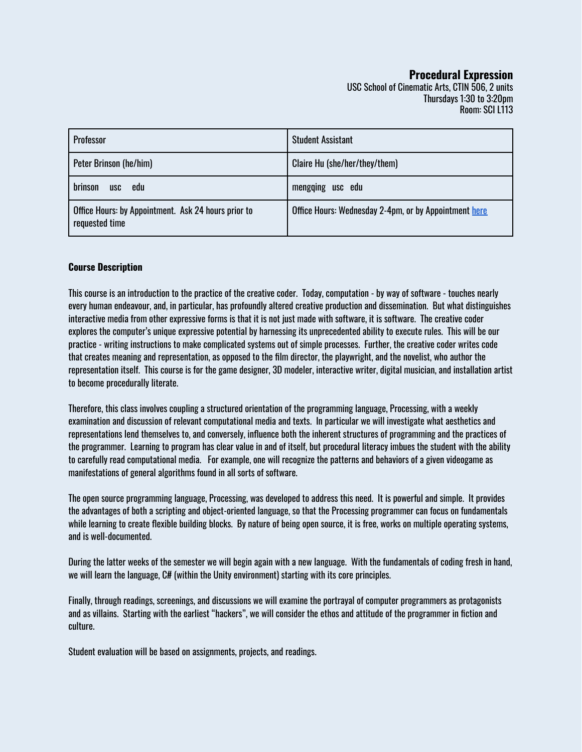# **Procedural Expression**

USC School of Cinematic Arts, CTIN 506, 2 units Thursdays 1:30 to 3:20pm Room: SCI L113

| Professor                                                             | <b>Student Assistant</b>                              |
|-----------------------------------------------------------------------|-------------------------------------------------------|
| Peter Brinson (he/him)                                                | Claire Hu (she/her/they/them)                         |
| brinson<br>edu<br><b>USC</b>                                          | mengqing usc edu                                      |
| Office Hours: by Appointment. Ask 24 hours prior to<br>requested time | Office Hours: Wednesday 2-4pm, or by Appointment here |

### **Course Description**

This course is an introduction to the practice of the creative coder. Today, computation - by way of software - touches nearly every human endeavour, and, in particular, has profoundly altered creative production and dissemination. But what distinguishes interactive media from other expressive forms is that it is not just made with software, it is software. The creative coder explores the computer's unique expressive potential by harnessing its unprecedented ability to execute rules. This will be our practice - writing instructions to make complicated systems out of simple processes. Further, the creative coder writes code that creates meaning and representation, as opposed to the film director, the playwright, and the novelist, who author the representation itself. This course is for the game designer, 3D modeler, interactive writer, digital musician, and installation artist to become procedurally literate.

Therefore, this class involves coupling a structured orientation of the programming language, Processing, with a weekly examination and discussion of relevant computational media and texts. In particular we will investigate what aesthetics and representations lend themselves to, and conversely, influence both the inherent structures of programming and the practices of the programmer. Learning to program has clear value in and of itself, but procedural literacy imbues the student with the ability to carefully read computational media. For example, one will recognize the patterns and behaviors of a given videogame as manifestations of general algorithms found in all sorts of software.

The open source programming language, Processing, was developed to address this need. It is powerful and simple. It provides the advantages of both a scripting and object-oriented language, so that the Processing programmer can focus on fundamentals while learning to create flexible building blocks. By nature of being open source, it is free, works on multiple operating systems, and is well-documented.

During the latter weeks of the semester we will begin again with a new language. With the fundamentals of coding fresh in hand, we will learn the language, C# (within the Unity environment) starting with its core principles.

Finally, through readings, screenings, and discussions we will examine the portrayal of computer programmers as protagonists and as villains. Starting with the earliest "hackers", we will consider the ethos and attitude of the programmer in fiction and culture.

Student evaluation will be based on assignments, projects, and readings.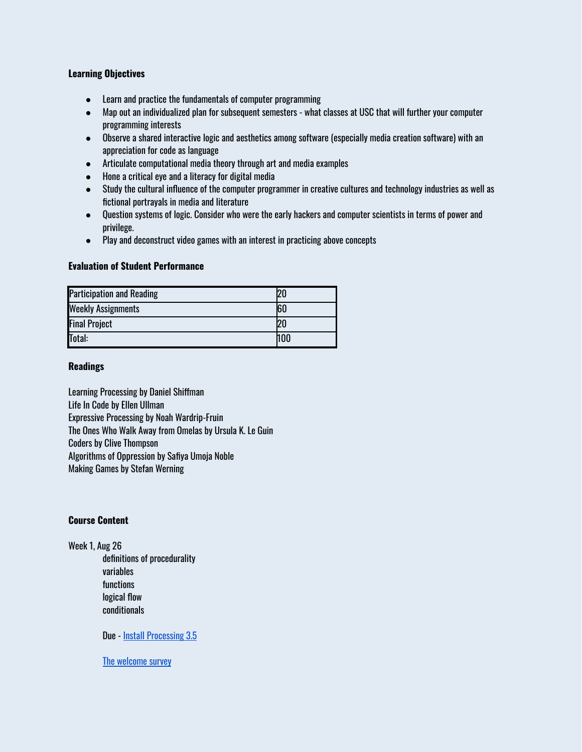# **Learning Objectives**

- Learn and practice the fundamentals of computer programming
- Map out an individualized plan for subsequent semesters what classes at USC that will further your computer programming interests
- Observe a shared interactive logic and aesthetics among software (especially media creation software) with an appreciation for code as language
- Articulate computational media theory through art and media examples
- Hone a critical eye and a literacy for digital media
- Study the cultural influence of the computer programmer in creative cultures and technology industries as well as fictional portrayals in media and literature
- Question systems of logic. Consider who were the early hackers and computer scientists in terms of power and privilege.
- Play and deconstruct video games with an interest in practicing above concepts

# **Evaluation of Student Performance**

| <b>Participation and Reading</b> |     |
|----------------------------------|-----|
| <b>Weekly Assignments</b>        | 160 |
| <b>Final Project</b>             | 20  |
| Total:                           | hoo |

### **Readings**

Learning Processing by Daniel Shiffman Life In Code by Ellen Ullman Expressive Processing by Noah Wardrip-Fruin The Ones Who Walk Away from Omelas by Ursula K. Le Guin Coders by Clive Thompson Algorithms of Oppression by Safiya Umoja Noble Making Games by Stefan Werning

### **Course Content**

Week 1, Aug 26 definitions of procedurality variables functions logical flow conditionals

Due - Install [Processing](https://processing.org/download/) 3.5

The [welcome](https://docs.google.com/forms/d/e/1FAIpQLSdw9oE_GAwiTtXxJG_9wwvn9C8ZDxRJRCRkMOY1ph8VcnPneA/viewform?usp=sf_link) survey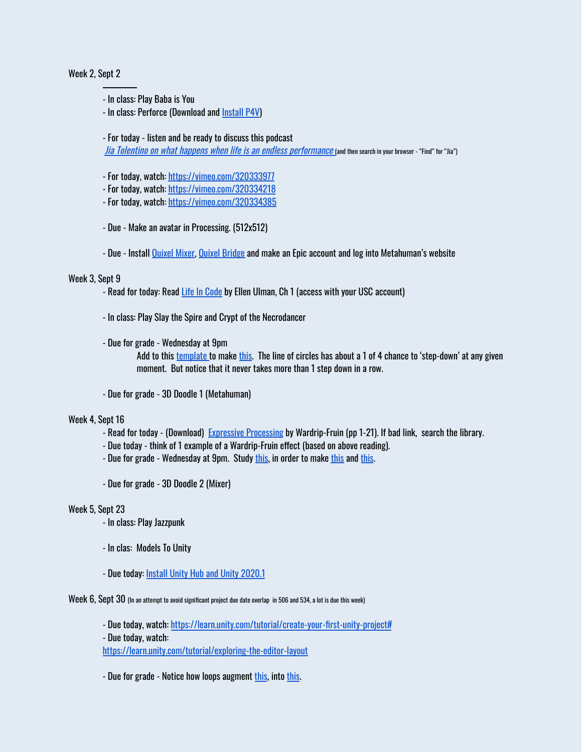### Week 2, Sept 2

- In class: Play Baba is You
- In class: Perforce (Download and [Install](https://www.perforce.com/downloads/helix-visual-client-p4v) P4V)

- For today - listen and be ready to discuss this podcast

Jia Tolentino on what happens when life is an endless [performance](https://cms.megaphone.fm/channel/theezrakleinshow?selected=VMP3258996441) (and then search in your browser - "Find" for "Jia")

- For today, watch: <https://vimeo.com/320333977>
- For today, watch: <https://vimeo.com/320334218>
- For today, watch: <https://vimeo.com/320334385>
- Due Make an avatar in Processing. (512x512)
- Due Install [Quixel](https://quixel.com/mixer) Mixer, Quixel [Bridge](https://quixel.com/bridge) and make an Epic account and log into Metahuman's website

### Week 3, Sept 9

- Read for today: Read Life In [Code](https://drive.google.com/drive/u/1/folders/1rxKhs2UpwYhrnVbrS1dgFXTUgri18GIU) by Ellen Ulman, Ch 1 (access with your USC account)
- In class: Play Slay the Spire and Crypt of the Necrodancer
- Due for grade Wednesday at 9pm

Add to this [template](https://docs.google.com/document/d/1q1fFUtuf5Jy0uMY5zebvu5i3HqRBNnKMXcgIJMpROO0/edit?usp=sharing) to make [this](https://vimeo.com/445029084). The line of circles has about a 1 of 4 chance to 'step-down' at any given moment. But notice that it never takes more than 1 step down in a row.

- Due for grade - 3D Doodle 1 (Metahuman)

#### Week 4, Sept 16

- Read for today (Download) Expressive [Processing](http://mitp-content-server.mit.edu:18180/books/content/sectbyfn?collid=books_pres_0&fn=9780262013437_sch_0001.pdf&id=7572) by Wardrip-Fruin (pp 1-21). If bad link, search the library.
- Due today think of 1 example of a Wardrip-Fruin effect (based on above reading).
- Due for grade Wednesday at 9pm. Study [this](http://peterbrinson.com/usc/Processing/loops2a/), in order to make this and this.
- Due for grade 3D Doodle 2 (Mixer)

### Week 5, Sept 23

- In class: Play Jazzpunk
- In clas: Models To Unity
- Due today: Install Unity Hub and Unity [2020.1](https://unity3d.com/get-unity/download)

#### Week 6, Sept 30 (In an attempt to avoid significant project due date overlap in <sup>506</sup> and 534, <sup>a</sup> lot is due this week)

- Due today, watch: <https://learn.unity.com/tutorial/create-your-first-unity-project#>

- Due today, watch:

<https://learn.unity.com/tutorial/exploring-the-editor-layout>

- Due for grade - Notice how loops augment [this](http://www.peterbrinson.com/usc/Processing/loops3a_done/web-export/), into this.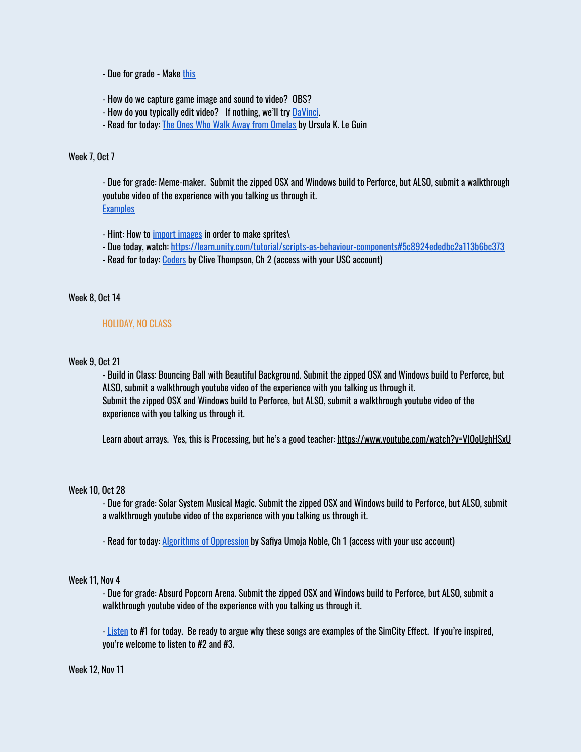- Due for grade - Make [this](http://www.peterbrinson.com/usc/Processing/loops4a/)

- How do we capture game image and sound to video? OBS?
- How do you typically edit video? If nothing, we'll try [DaVinci](https://www.blackmagicdesign.com/products/davinciresolve/).
- Read for today: The Ones Who Walk Away from [Omelas](https://drive.google.com/drive/u/1/folders/1rxKhs2UpwYhrnVbrS1dgFXTUgri18GIU) by Ursula K. Le Guin

### Week 7, Oct 7

- Due for grade: Meme-maker. Submit the zipped OSX and Windows build to Perforce, but ALSO, submit a walkthrough youtube video of the experience with you talking us through it. **[Examples](https://drive.google.com/drive/folders/1La8NkPE41v7Q39dO1hKDY6fYtCxAHPji?usp=sharing)** 

- Hint: How to *import [images](https://docs.unity3d.com/Manual/Sprites.html)* in order to make sprites\

- Due today, watch: <https://learn.unity.com/tutorial/scripts-as-behaviour-components#5c8924ededbc2a113b6bc373>
- Read for today: [Coders](https://drive.google.com/drive/u/1/folders/1rxKhs2UpwYhrnVbrS1dgFXTUgri18GIU) by Clive Thompson, Ch 2 (access with your USC account)

### Week 8, Oct 14

#### HOLIDAY, NO CLASS

### Week 9, Oct 21

- Build in Class: Bouncing Ball with Beautiful Background. Submit the zipped OSX and Windows build to Perforce, but ALSO, submit a walkthrough youtube video of the experience with you talking us through it. Submit the zipped OSX and Windows build to Perforce, but ALSO, submit a walkthrough youtube video of the experience with you talking us through it.

Learn about arrays. Yes, this is Processing, but he's a good teacher: <https://www.youtube.com/watch?v=VIQoUghHSxU>

#### Week 10, Oct 28

- Due for grade: Solar System Musical Magic. Submit the zipped OSX and Windows build to Perforce, but ALSO, submit a walkthrough youtube video of the experience with you talking us through it.

- Read for today: **Algorithms of [Oppression](https://drive.google.com/drive/u/1/folders/1rxKhs2UpwYhrnVbrS1dgFXTUgri18GIU)** by Safiya Umoja Noble, Ch 1 (access with your usc account)

#### Week 11, Nov 4

- Due for grade: Absurd Popcorn Arena. Submit the zipped OSX and Windows build to Perforce, but ALSO, submit a walkthrough youtube video of the experience with you talking us through it.

- [Listen](https://drive.google.com/drive/u/0/folders/1mHDtgE-6efulvwuOCWkwjSCyyBUWVEt0) to #1 for today. Be ready to argue why these songs are examples of the SimCity Effect. If you're inspired, you're welcome to listen to #2 and #3.

### Week 12, Nov 11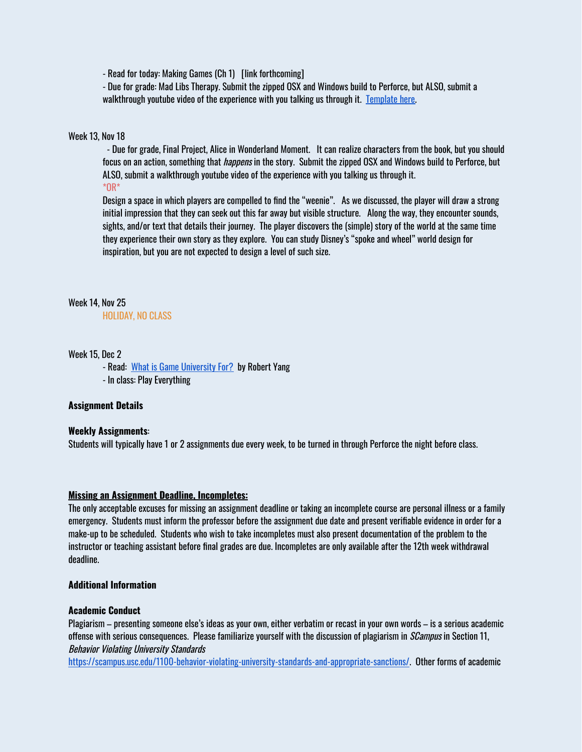- Read for today: Making Games (Ch 1) [link forthcoming]

- Due for grade: Mad Libs Therapy. Submit the zipped OSX and Windows build to Perforce, but ALSO, submit a walkthrough youtube video of the experience with you talking us through it. [Template](https://drive.google.com/drive/u/0/folders/1La8NkPE41v7Q39dO1hKDY6fYtCxAHPji) here.

#### Week 13, Nov 18

- Due for grade, Final Project, Alice in Wonderland Moment. It can realize characters from the book, but you should focus on an action, something that *happens* in the story. Submit the zipped OSX and Windows build to Perforce, but ALSO, submit a walkthrough youtube video of the experience with you talking us through it. \*OR\*

Design a space in which players are compelled to find the "weenie". As we discussed, the player will draw a strong initial impression that they can seek out this far away but visible structure. Along the way, they encounter sounds, sights, and/or text that details their journey. The player discovers the (simple) story of the world at the same time they experience their own story as they explore. You can study Disney's "spoke and wheel" world design for inspiration, but you are not expected to design a level of such size.

### Week 14, Nov 25

HOLIDAY, NO CLASS

### Week 15, Dec 2

- Read: What is Game [University](https://www.blog.radiator.debacle.us/2018/05/what-is-game-university-for.html) For? by Robert Yang - In class: Play Everything

### **Assignment Details**

### **Weekly Assignments**:

Students will typically have 1 or 2 assignments due every week, to be turned in through Perforce the night before class.

#### **Missing an Assignment Deadline, Incompletes:**

The only acceptable excuses for missing an assignment deadline or taking an incomplete course are personal illness or a family emergency. Students must inform the professor before the assignment due date and present verifiable evidence in order for a make-up to be scheduled. Students who wish to take incompletes must also present documentation of the problem to the instructor or teaching assistant before final grades are due. Incompletes are only available after the 12th week withdrawal deadline.

#### **Additional Information**

#### **Academic Conduct**

Plagiarism – presenting someone else's ideas as your own, either verbatim or recast in your own words – is a serious academic offense with serious consequences. Please familiarize yourself with the discussion of plagiarism in *SCampus* in Section 11, Behavior Violating University Standard[s](https://scampus.usc.edu/1100-behavior-violating-university-standards-and-appropriate-sanctions/)

[https://scampus.usc.edu/1100-behavior-violating-university-standards-and-appropriate-sanctions/.](https://scampus.usc.edu/1100-behavior-violating-university-standards-and-appropriate-sanctions/) Other forms of academic